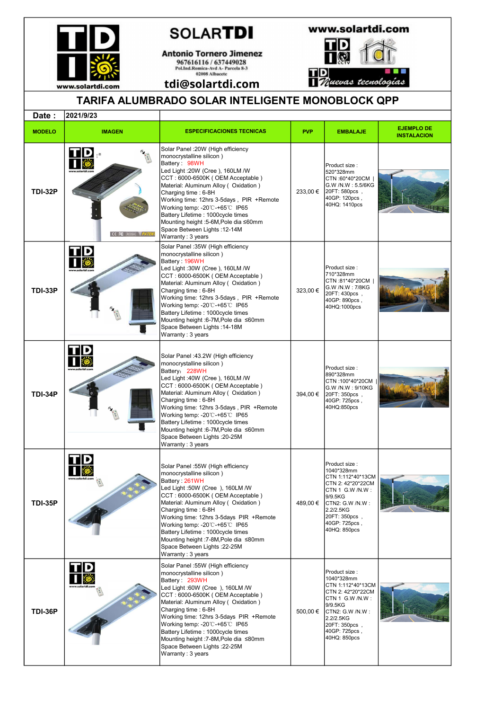

## **SOLARTDI**

**Antonio Tornero Jimenez** 967616116 / 637449028<br>Pol.Ind.Romica-Avd A- Parcela 8-3<br>02008 Albacete



**TD** 1 Nuevas tecnologías

 $\mathbf{Q}$ П



## TARIFA ALUMBRADO SOLAR INTELIGENTE MONOBLOCK QPP

| Date:          | 2021/9/23      |                                                                                                                                                                                                                                                                                                                                                                                                                                          |            |                                                                                                                                                                                          |                                         |
|----------------|----------------|------------------------------------------------------------------------------------------------------------------------------------------------------------------------------------------------------------------------------------------------------------------------------------------------------------------------------------------------------------------------------------------------------------------------------------------|------------|------------------------------------------------------------------------------------------------------------------------------------------------------------------------------------------|-----------------------------------------|
| <b>MODELO</b>  | <b>IMAGEN</b>  | <b>ESPECIFICACIONES TECNICAS</b>                                                                                                                                                                                                                                                                                                                                                                                                         | <b>PVP</b> | <b>EMBALAJE</b>                                                                                                                                                                          | <b>EJEMPLO DE</b><br><b>INSTALACION</b> |
| <b>TDI-32P</b> | CE FC ROSH PAT | Solar Panel : 20W (High efficiency<br>monocrystalline silicon)<br>Battery: 98WH<br>Led Light : 20W (Cree), 160LM/W<br>CCT: 6000-6500K (OEM Acceptable)<br>Material: Aluminum Alloy (Oxidation)<br>Charging time: 6-8H<br>Working time: 12hrs 3-5days, PIR +Remote<br>Working temp: -20℃-+65℃ IP65<br>Battery Lifetime : 1000cycle times<br>Mounting height :5-6M, Pole dia ≤60mm<br>Space Between Lights : 12-14M<br>Warranty: 3 years   | 233,00 €   | Product size :<br>520*328mm<br>CTN:60*40*20CM<br>G.W /N.W: 5.5/6KG<br>20FT: 580pcs,<br>40GP: 120pcs,<br>40HQ: 1410pcs                                                                    |                                         |
| <b>TDI-33P</b> | 'ID            | Solar Panel :35W (High efficiency<br>monocrystalline silicon)<br>Battery: 196WH<br>Led Light :30W (Cree), 160LM/W<br>CCT: 6000-6500K (OEM Acceptable)<br>Material: Aluminum Alloy (Oxidation)<br>Charging time: 6-8H<br>Working time: 12hrs 3-5days, PIR +Remote<br>Working temp: - 20°C-+65°C IP65<br>Battery Lifetime : 1000cycle times<br>Mounting height :6-7M, Pole dia ≤60mm<br>Space Between Lights: 14-18M<br>Warranty: 3 years  | 323,00 €   | Product size:<br>710*328mm<br>CTN:81*40*20CM<br>G.W /N.W: 7/8KG<br>20FT: 430pcs,<br>40GP: 890pcs,<br>40HQ:1000pcs                                                                        |                                         |
| <b>TDI-34P</b> | TID            | Solar Panel :43.2W (High efficiency<br>monocrystalline silicon)<br>Battery: 228WH<br>Led Light :40W (Cree), 160LM/W<br>CCT: 6000-6500K (OEM Acceptable)<br>Material: Aluminum Alloy (Oxidation)<br>Charging time: 6-8H<br>Working time: 12hrs 3-5days, PIR +Remote<br>Working temp: - 20℃-+65℃ IP65<br>Battery Lifetime : 1000cycle times<br>Mounting height :6-7M, Pole dia ≤60mm<br>Space Between Lights : 20-25M<br>Warranty: 3 years | 394,00 €   | Product size :<br>890*328mm<br>CTN:100*40*20CM<br>G.W /N.W: 9/10KG<br>20FT: 350pcs,<br>40GP: 725pcs,<br>40HQ:850pcs                                                                      |                                         |
| <b>TDI-35P</b> |                | Solar Panel :55W (High efficiency<br>monocrystalline silicon)<br>Battery: 261WH<br>Led Light :50W (Cree ), 160LM /W<br>CCT: 6000-6500K (OEM Acceptable)<br>Material: Aluminum Alloy (Oxidation)<br>Charging time: 6-8H<br>Working time: 12hrs 3-5days PIR +Remote<br>Working temp: -20℃-+65℃ IP65<br>Battery Lifetime : 1000cycle times<br>Mounting height :7-8M, Pole dia ≤80mm<br>Space Between Lights : 22-25M<br>Warranty: 3 years   | 489,00 €   | Product size :<br>1040*328mm<br>CTN 1:112*40*13CM<br>CTN 2: 42*20*22CM<br>CTN 1 G.W /N.W :<br>9/9.5KG<br>CTN2: G.W /N.W :<br>2.2/2.5KG<br>20FT: 350pcs,<br>40GP: 725pcs,<br>40HQ: 850pcs |                                         |
| <b>TDI-36P</b> | ID             | Solar Panel :55W (High efficiency<br>monocrystalline silicon)<br>Battery: 293WH<br>Led Light :60W (Cree), 160LM /W<br>CCT: 6000-6500K (OEM Acceptable)<br>Material: Aluminum Alloy (Oxidation)<br>Charging time: 6-8H<br>Working time: 12hrs 3-5days PIR +Remote<br>Working temp: -20℃-+65℃ IP65<br>Battery Lifetime : 1000cycle times<br>Mounting height :7-8M, Pole dia ≤80mm<br>Space Between Lights : 22-25M<br>Warranty: 3 years    | 500,00€    | Product size :<br>1040*328mm<br>CTN 1:112*40*13CM<br>CTN 2: 42*20*22CM<br>CTN 1 G.W /N.W :<br>9/9.5KG<br>CTN2: G.W /N.W :<br>2.2/2.5KG<br>20FT: 350pcs,<br>40GP: 725pcs,<br>40HQ: 850pcs |                                         |